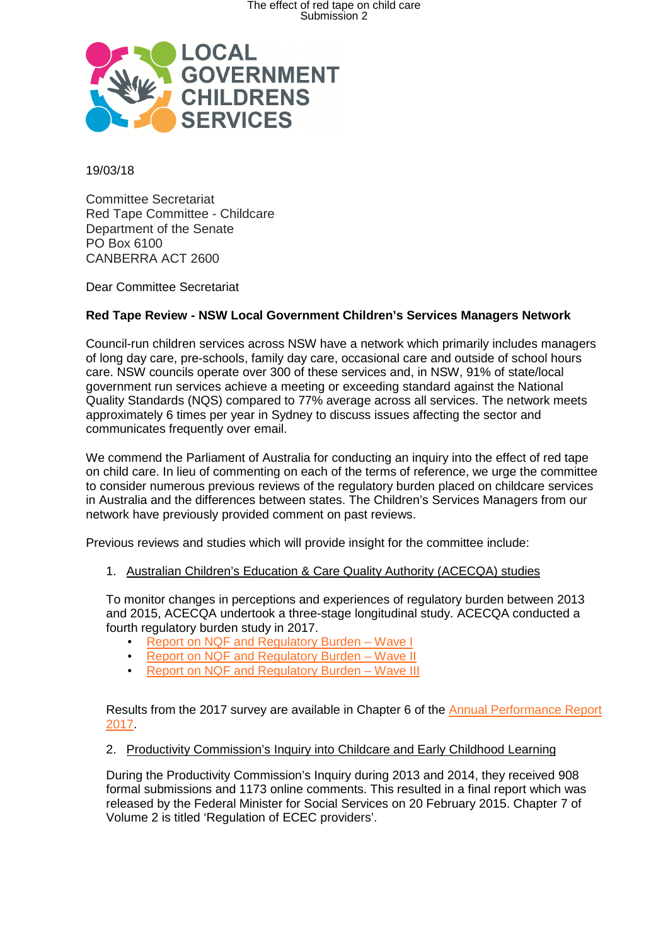

19/03/18

Committee Secretariat Red Tape Committee - Childcare Department of the Senate PO Box 6100 CANBERRA ACT 2600

Dear Committee Secretariat

## **Red Tape Review - NSW Local Government Children's Services Managers Network**

Council-run children services across NSW have a network which primarily includes managers of long day care, pre-schools, family day care, occasional care and outside of school hours care. NSW councils operate over 300 of these services and, in NSW, 91% of state/local government run services achieve a meeting or exceeding standard against the National Quality Standards (NQS) compared to 77% average across all services. The network meets approximately 6 times per year in Sydney to discuss issues affecting the sector and communicates frequently over email.

We commend the Parliament of Australia for conducting an inquiry into the effect of red tape on child care. In lieu of commenting on each of the terms of reference, we urge the committee to consider numerous previous reviews of the regulatory burden placed on childcare services in Australia and the differences between states. The Children's Services Managers from our network have previously provided comment on past reviews.

Previous reviews and studies which will provide insight for the committee include:

1. Australian Children's Education & Care Quality Authority (ACECQA) studies

To monitor changes in perceptions and experiences of regulatory burden between 2013 and 2015, ACECQA undertook a three-stage longitudinal study. ACECQA conducted a fourth regulatory burden study in 2017.

- Report on NQF and Regulatory Burden Wave I
- Report on NQF and Regulatory Burden Wave II
- Report on NQF and Regulatory Burden Wave III

Results from the 2017 survey are available in Chapter 6 of the Annual Performance Report 2017.

## 2. Productivity Commission's Inquiry into Childcare and Early Childhood Learning

During the Productivity Commission's Inquiry during 2013 and 2014, they received 908 formal submissions and 1173 online comments. This resulted in a final report which was released by the Federal Minister for Social Services on 20 February 2015. Chapter 7 of Volume 2 is titled 'Regulation of ECEC providers'.